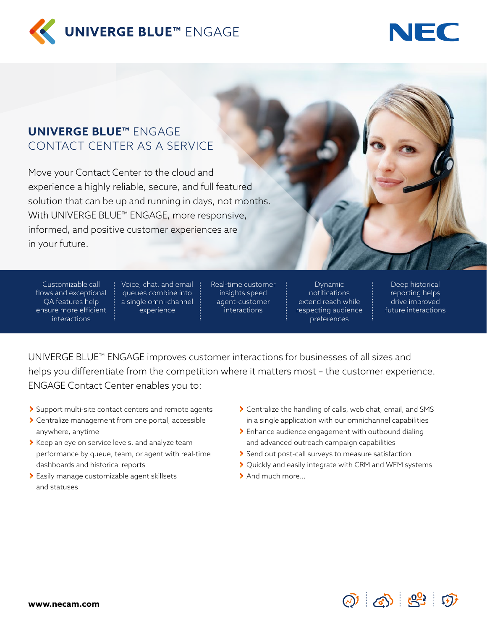



# **UNIVERGE BLUE™** ENGAGE CONTACT CENTER AS A SERVICE

Move your Contact Center to the cloud and experience a highly reliable, secure, and full featured solution that can be up and running in days, not months. With UNIVERGE BLUE™ ENGAGE, more responsive, informed, and positive customer experiences are in your future.

Customizable call flows and exceptional QA features help ensure more efficient interactions

Voice, chat, and email queues combine into a single omni-channel experience

Real-time customer insights speed agent-customer interactions

Dynamic notifications extend reach while respecting audience preferences

Deep historical reporting helps drive improved future interactions

UNIVERGE BLUE™ ENGAGE improves customer interactions for businesses of all sizes and helps you differentiate from the competition where it matters most – the customer experience. ENGAGE Contact Center enables you to:

- Support multi-site contact centers and remote agents
- Centralize management from one portal, accessible anywhere, anytime
- S Keep an eye on service levels, and analyze team performance by queue, team, or agent with real-time dashboards and historical reports
- Easily manage customizable agent skillsets and statuses
- Centralize the handling of calls, web chat, email, and SMS in a single application with our omnichannel capabilities
- Enhance audience engagement with outbound dialing and advanced outreach campaign capabilities
- Send out post-call surveys to measure satisfaction
- ▶ Quickly and easily integrate with CRM and WFM systems
- > And much more...

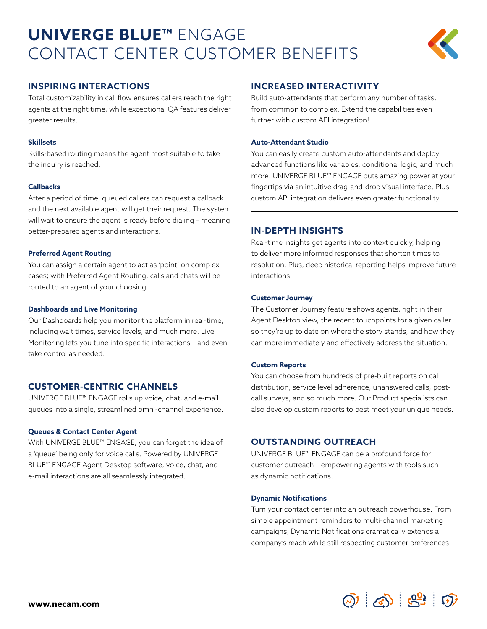# **UNIVERGE BLUE™** ENGAGE CONTACT CENTER CUSTOMER BENEFITS



# **INSPIRING INTERACTIONS**

Total customizability in call flow ensures callers reach the right agents at the right time, while exceptional QA features deliver greater results.

## **Skillsets**

Skills-based routing means the agent most suitable to take the inquiry is reached.

## **Callbacks**

After a period of time, queued callers can request a callback and the next available agent will get their request. The system will wait to ensure the agent is ready before dialing – meaning better-prepared agents and interactions.

## **Preferred Agent Routing**

You can assign a certain agent to act as 'point' on complex cases; with Preferred Agent Routing, calls and chats will be routed to an agent of your choosing.

## **Dashboards and Live Monitoring**

Our Dashboards help you monitor the platform in real-time, including wait times, service levels, and much more. Live Monitoring lets you tune into specific interactions – and even take control as needed.

# **CUSTOMER-CENTRIC CHANNELS**

UNIVERGE BLUE™ ENGAGE rolls up voice, chat, and e-mail queues into a single, streamlined omni-channel experience.

# **Queues & Contact Center Agent**

With UNIVERGE BLUE™ ENGAGE, you can forget the idea of a 'queue' being only for voice calls. Powered by UNIVERGE BLUE™ ENGAGE Agent Desktop software, voice, chat, and e-mail interactions are all seamlessly integrated.

# **INCREASED INTERACTIVITY**

Build auto-attendants that perform any number of tasks, from common to complex. Extend the capabilities even further with custom API integration!

## **Auto-Attendant Studio**

You can easily create custom auto-attendants and deploy advanced functions like variables, conditional logic, and much more. UNIVERGE BLUE™ ENGAGE puts amazing power at your fingertips via an intuitive drag-and-drop visual interface. Plus, custom API integration delivers even greater functionality.

# **IN-DEPTH INSIGHTS**

Real-time insights get agents into context quickly, helping to deliver more informed responses that shorten times to resolution. Plus, deep historical reporting helps improve future interactions.

#### **Customer Journey**

The Customer Journey feature shows agents, right in their Agent Desktop view, the recent touchpoints for a given caller so they're up to date on where the story stands, and how they can more immediately and effectively address the situation.

#### **Custom Reports**

You can choose from hundreds of pre-built reports on call distribution, service level adherence, unanswered calls, postcall surveys, and so much more. Our Product specialists can also develop custom reports to best meet your unique needs.

# **OUTSTANDING OUTREACH**

UNIVERGE BLUE™ ENGAGE can be a profound force for customer outreach – empowering agents with tools such as dynamic notifications.

#### **Dynamic Notifications**

Turn your contact center into an outreach powerhouse. From simple appointment reminders to multi-channel marketing campaigns, Dynamic Notifications dramatically extends a company's reach while still respecting customer preferences.

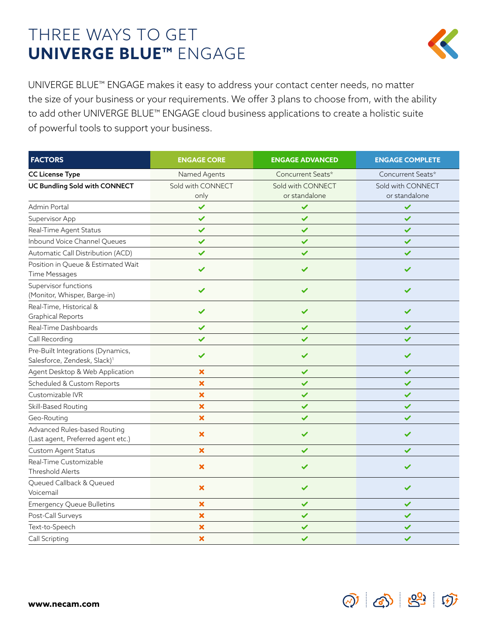# THREE WAYS TO GET **UNIVERGE BLUE™** ENGAGE



UNIVERGE BLUE™ ENGAGE makes it easy to address your contact center needs, no matter the size of your business or your requirements. We offer 3 plans to choose from, with the ability to add other UNIVERGE BLUE™ ENGAGE cloud business applications to create a holistic suite of powerful tools to support your business.

| <b>FACTORS</b>                                                                | <b>ENGAGE CORE</b>        | <b>ENGAGE ADVANCED</b>             | <b>ENGAGE COMPLETE</b>             |
|-------------------------------------------------------------------------------|---------------------------|------------------------------------|------------------------------------|
| <b>CC License Type</b>                                                        | Named Agents              | Concurrent Seats*                  | Concurrent Seats*                  |
| <b>UC Bundling Sold with CONNECT</b>                                          | Sold with CONNECT<br>only | Sold with CONNECT<br>or standalone | Sold with CONNECT<br>or standalone |
| Admin Portal                                                                  | $\checkmark$              | $\checkmark$                       | $\checkmark$                       |
| Supervisor App                                                                | $\checkmark$              | $\checkmark$                       | $\checkmark$                       |
| Real-Time Agent Status                                                        | $\checkmark$              | $\checkmark$                       | $\checkmark$                       |
| Inbound Voice Channel Queues                                                  | ✓                         | $\checkmark$                       | ✓                                  |
| Automatic Call Distribution (ACD)                                             | $\checkmark$              | $\checkmark$                       | ✓                                  |
| Position in Queue & Estimated Wait<br>Time Messages                           |                           |                                    |                                    |
| Supervisor functions<br>(Monitor, Whisper, Barge-in)                          | ✓                         |                                    |                                    |
| Real-Time, Historical &<br><b>Graphical Reports</b>                           | ✓                         | ✓                                  | $\checkmark$                       |
| Real-Time Dashboards                                                          | $\checkmark$              | $\checkmark$                       | $\checkmark$                       |
| Call Recording                                                                | ✓                         | ✓                                  | ✓                                  |
| Pre-Built Integrations (Dynamics,<br>Salesforce, Zendesk, Slack) <sup>1</sup> | ✓                         | ✓                                  | ✓                                  |
| Agent Desktop & Web Application                                               | $\boldsymbol{\mathsf{x}}$ | $\checkmark$                       | ✓                                  |
| Scheduled & Custom Reports                                                    | $\boldsymbol{\mathsf{x}}$ | ✓                                  | $\checkmark$                       |
| Customizable IVR                                                              | $\boldsymbol{\mathsf{x}}$ | $\checkmark$                       | $\checkmark$                       |
| Skill-Based Routing                                                           | $\pmb{\times}$            | $\checkmark$                       | $\checkmark$                       |
| Geo-Routing                                                                   | $\boldsymbol{\mathsf{x}}$ | ✓                                  | ✔                                  |
| Advanced Rules-based Routing<br>(Last agent, Preferred agent etc.)            | $\pmb{\times}$            | $\checkmark$                       | $\checkmark$                       |
| Custom Agent Status                                                           | $\overline{\mathbf{x}}$   | $\checkmark$                       | $\checkmark$                       |
| Real-Time Customizable<br><b>Threshold Alerts</b>                             | $\pmb{\times}$            | ✓                                  | ✓                                  |
| Queued Callback & Queued<br>Voicemail                                         | $\boldsymbol{\mathsf{x}}$ | $\checkmark$                       | $\checkmark$                       |
| <b>Emergency Queue Bulletins</b>                                              | $\boldsymbol{\mathsf{x}}$ | $\checkmark$                       | $\checkmark$                       |
| Post-Call Surveys                                                             | $\boldsymbol{\mathsf{x}}$ | ✓                                  | ✓                                  |
| Text-to-Speech                                                                | $\boldsymbol{\mathsf{x}}$ | ✓                                  | ✓                                  |
| Call Scripting                                                                | $\boldsymbol{\mathsf{x}}$ | $\checkmark$                       | ✓                                  |